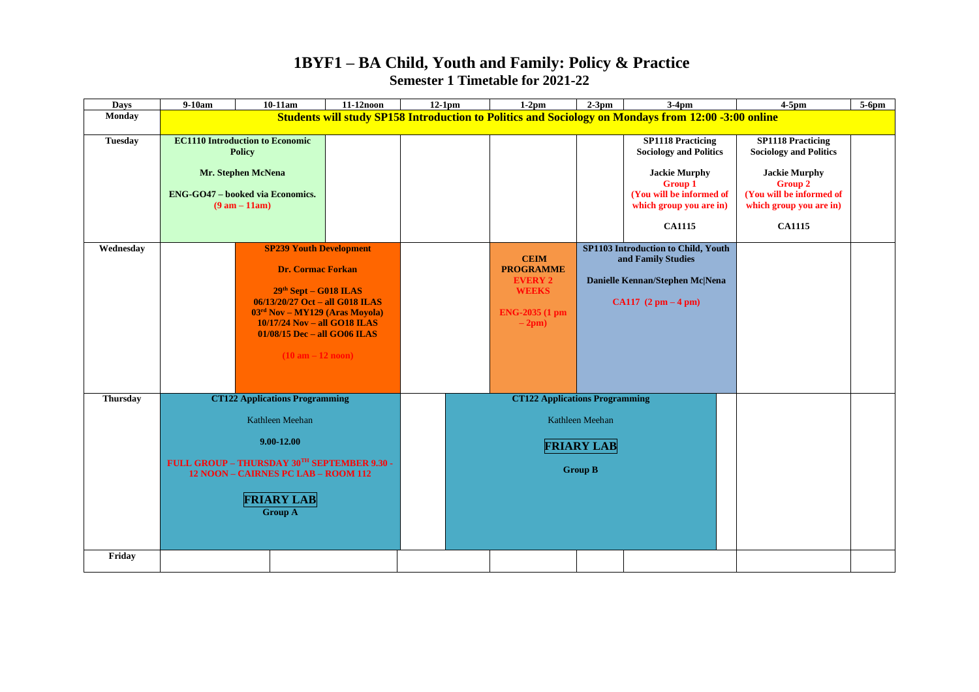## **1BYF1 – BA Child, Youth and Family: Policy & Practice Semester 1 Timetable for 2021-22**

| <b>Days</b>     | 9-10am                                                                                                                                                                                                                                                                | $10-11am$                                                                                                                                   | 11-12noon | $12-1pm$                              |                                                                                                | $1-2pm$                                                                                                                               | $2-3$ pm | $3-4$ pm                                                                                                                                                                    | $4-5$ pm                                                                                                                                                                    | 5-6pm |
|-----------------|-----------------------------------------------------------------------------------------------------------------------------------------------------------------------------------------------------------------------------------------------------------------------|---------------------------------------------------------------------------------------------------------------------------------------------|-----------|---------------------------------------|------------------------------------------------------------------------------------------------|---------------------------------------------------------------------------------------------------------------------------------------|----------|-----------------------------------------------------------------------------------------------------------------------------------------------------------------------------|-----------------------------------------------------------------------------------------------------------------------------------------------------------------------------|-------|
| <b>Monday</b>   | Students will study SP158 Introduction to Politics and Sociology on Mondays from 12:00 -3:00 online                                                                                                                                                                   |                                                                                                                                             |           |                                       |                                                                                                |                                                                                                                                       |          |                                                                                                                                                                             |                                                                                                                                                                             |       |
| <b>Tuesday</b>  |                                                                                                                                                                                                                                                                       | <b>EC1110 Introduction to Economic</b><br><b>Policy</b><br>Mr. Stephen McNena<br><b>ENG-GO47 - booked via Economics.</b><br>$(9 am - 11am)$ |           |                                       |                                                                                                |                                                                                                                                       |          | <b>SP1118 Practicing</b><br><b>Sociology and Politics</b><br><b>Jackie Murphy</b><br><b>Group 1</b><br>(You will be informed of<br>which group you are in)<br><b>CA1115</b> | <b>SP1118 Practicing</b><br><b>Sociology and Politics</b><br><b>Jackie Murphy</b><br><b>Group 2</b><br>(You will be informed of<br>which group you are in)<br><b>CA1115</b> |       |
| Wednesday       | <b>SP239 Youth Development</b><br><b>Dr. Cormac Forkan</b><br>$29th$ Sept – G018 ILAS<br>06/13/20/27 Oct - all G018 ILAS<br>$03rd$ Nov – MY129 (Aras Moyola)<br>10/17/24 Nov - all GO18 ILAS<br>$01/08/15$ Dec – all GO06 ILAS<br>$(10 \text{ am} - 12 \text{ noon})$ |                                                                                                                                             |           |                                       | <b>CEIM</b><br><b>PROGRAMME</b><br><b>EVERY 2</b><br><b>WEEKS</b><br>ENG-2035 (1 pm<br>$-2pm)$ | SP1103 Introduction to Child, Youth<br>and Family Studies<br>Danielle Kennan/Stephen Mc Nena<br>CA117 $(2 \text{ pm} - 4 \text{ pm})$ |          |                                                                                                                                                                             |                                                                                                                                                                             |       |
| <b>Thursday</b> | <b>CT122 Applications Programming</b><br>Kathleen Meehan<br>9.00-12.00<br>FULL GROUP - THURSDAY 30TH SEPTEMBER 9.30 -<br>12 NOON - CAIRNES PC LAB - ROOM 112<br><b>FRIARY LAB</b><br><b>Group A</b>                                                                   |                                                                                                                                             |           | <b>CT122 Applications Programming</b> |                                                                                                |                                                                                                                                       |          |                                                                                                                                                                             |                                                                                                                                                                             |       |
|                 |                                                                                                                                                                                                                                                                       |                                                                                                                                             |           |                                       |                                                                                                | Kathleen Meehan                                                                                                                       |          |                                                                                                                                                                             |                                                                                                                                                                             |       |
|                 |                                                                                                                                                                                                                                                                       |                                                                                                                                             |           |                                       |                                                                                                | <b>FRIARY LAB</b><br><b>Group B</b>                                                                                                   |          |                                                                                                                                                                             |                                                                                                                                                                             |       |
| Friday          |                                                                                                                                                                                                                                                                       |                                                                                                                                             |           |                                       |                                                                                                |                                                                                                                                       |          |                                                                                                                                                                             |                                                                                                                                                                             |       |